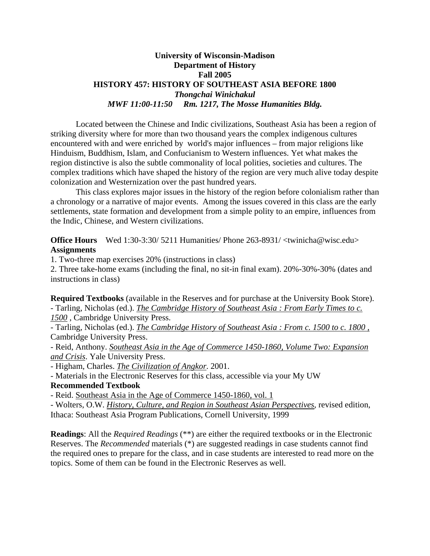## **University of Wisconsin-Madison Department of History Fall 2005 HISTORY 457: HISTORY OF SOUTHEAST ASIA BEFORE 1800**  *Thongchai Winichakul MWF 11:00-11:50 Rm. 1217, The Mosse Humanities Bldg.*

 Located between the Chinese and Indic civilizations, Southeast Asia has been a region of striking diversity where for more than two thousand years the complex indigenous cultures encountered with and were enriched by world's major influences – from major religions like Hinduism, Buddhism, Islam, and Confucianism to Western influences. Yet what makes the region distinctive is also the subtle commonality of local polities, societies and cultures. The complex traditions which have shaped the history of the region are very much alive today despite colonization and Westernization over the past hundred years.

 This class explores major issues in the history of the region before colonialism rather than a chronology or a narrative of major events. Among the issues covered in this class are the early settlements, state formation and development from a simple polity to an empire, influences from the Indic, Chinese, and Western civilizations.

**Office Hours** Wed 1:30-3:30/ 5211 Humanities/ Phone 263-8931/ <twinicha@wisc.edu> **Assignments**

1. Two-three map exercises 20% (instructions in class)

2. Three take-home exams (including the final, no sit-in final exam). 20%-30%-30% (dates and instructions in class)

**Required Textbooks** (available in the Reserves and for purchase at the University Book Store). - Tarling, Nicholas (ed.). *The Cambridge History of Southeast Asia : From Early Times to c. 1500* , Cambridge University Press.

- Tarling, Nicholas (ed.). *The Cambridge History of Southeast Asia : From c. 1500 to c. 1800 ,* Cambridge University Press.

- Reid, Anthony. *Southeast Asia in the Age of Commerce 1450-1860, Volume Two: Expansion and Crisis*. Yale University Press.

- Higham, Charles. *The Civilization of Angkor*. 2001.

- Materials in the Electronic Reserves for this class, accessible via your My UW

### **Recommended Textbook**

- Reid. Southeast Asia in the Age of Commerce 1450-1860, vol. 1

- Wolters, O.W. *History, Culture, and Region in Southeast Asian Perspectives*, revised edition, Ithaca: Southeast Asia Program Publications, Cornell University, 1999

**Readings**: All the *Required Readings* (\*\*) are either the required textbooks or in the Electronic Reserves. The *Recommended* materials (\*) are suggested readings in case students cannot find the required ones to prepare for the class, and in case students are interested to read more on the topics. Some of them can be found in the Electronic Reserves as well.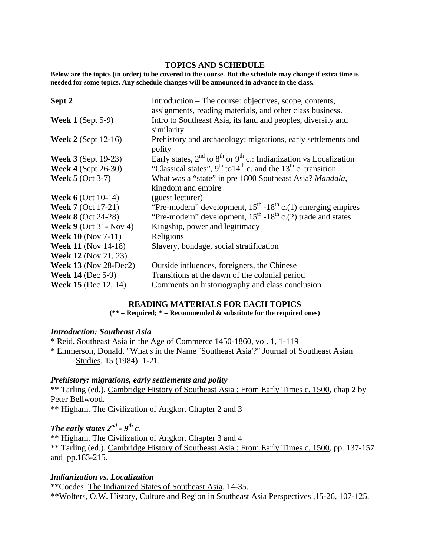### **TOPICS AND SCHEDULE**

**Below are the topics (in order) to be covered in the course. But the schedule may change if extra time is needed for some topics. Any schedule changes will be announced in advance in the class.** 

| Sept 2                        | Introduction – The course: objectives, scope, contents,                          |
|-------------------------------|----------------------------------------------------------------------------------|
|                               | assignments, reading materials, and other class business.                        |
| <b>Week 1</b> (Sept $5-9$ )   | Intro to Southeast Asia, its land and peoples, diversity and                     |
|                               | similarity                                                                       |
| <b>Week 2</b> (Sept 12-16)    | Prehistory and archaeology: migrations, early settlements and                    |
|                               | polity                                                                           |
| <b>Week 3</b> (Sept 19-23)    | Early states, $2^{nd}$ to $8^{th}$ or $9^{th}$ c.: Indianization vs Localization |
| <b>Week 4 (Sept 26-30)</b>    | "Classical states", $9^{th}$ to $14^{th}$ c. and the $13^{th}$ c. transition     |
| <b>Week 5 (Oct 3-7)</b>       | What was a "state" in pre 1800 Southeast Asia? Mandala,                          |
|                               | kingdom and empire.                                                              |
| <b>Week 6</b> (Oct 10-14)     | (guest lecturer)                                                                 |
| <b>Week 7</b> (Oct 17-21)     | "Pre-modern" development, $15^{th}$ -18 <sup>th</sup> c.(1) emerging empires     |
| <b>Week 8 (Oct 24-28)</b>     | "Pre-modern" development, $15th - 18th$ c.(2) trade and states                   |
| <b>Week 9</b> (Oct 31- Nov 4) | Kingship, power and legitimacy                                                   |
| <b>Week 10</b> (Nov $7-11$ )  | Religions                                                                        |
| <b>Week 11 (Nov 14-18)</b>    | Slavery, bondage, social stratification                                          |
| <b>Week 12</b> (Nov 21, 23)   |                                                                                  |
| <b>Week 13</b> (Nov 28-Dec2)  | Outside influences, foreigners, the Chinese                                      |
| <b>Week 14 (Dec 5-9)</b>      | Transitions at the dawn of the colonial period                                   |
| <b>Week 15</b> (Dec 12, 14)   | Comments on historiography and class conclusion                                  |

### **READING MATERIALS FOR EACH TOPICS**

**(\*\* = Required; \* = Recommended & substitute for the required ones)** 

## *Introduction: Southeast Asia*

\* Reid. Southeast Asia in the Age of Commerce 1450-1860, vol. 1, 1-119 \* Emmerson, Donald. "What's in the Name `Southeast Asia'?" Journal of Southeast Asian Studies, 15 (1984): 1-21.

### *Prehistory: migrations, early settlements and polity*

\*\* Tarling (ed.), Cambridge History of Southeast Asia : From Early Times c. 1500, chap 2 by Peter Bellwood.

\*\* Higham. The Civilization of Angkor. Chapter 2 and 3

## *The early states*  $2^{nd}$  -  $9^{th}$  c.

\*\* Higham. The Civilization of Angkor. Chapter 3 and 4 \*\* Tarling (ed.), Cambridge History of Southeast Asia : From Early Times c. 1500, pp. 137-157 and pp.183-215.

### *Indianization vs. Localization*

\*\*Coedes. The Indianized States of Southeast Asia, 14-35. \*\*Wolters, O.W. History, Culture and Region in Southeast Asia Perspectives ,15-26, 107-125.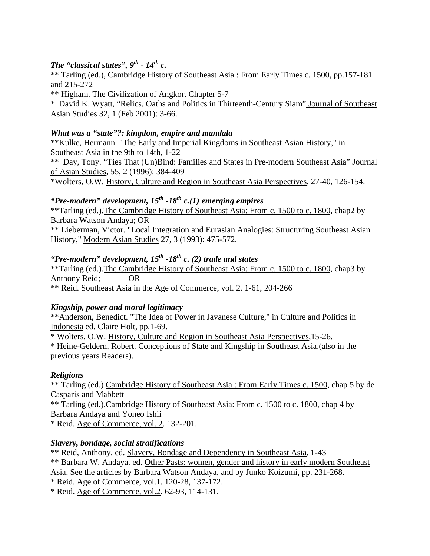## *The "classical states",*  $9^{th}$  -  $14^{th}$  c.

\*\* Tarling (ed.), Cambridge History of Southeast Asia : From Early Times c. 1500, pp.157-181 and 215-272

\*\* Higham. The Civilization of Angkor. Chapter 5-7

\* David K. Wyatt, "Relics, Oaths and Politics in Thirteenth-Century Siam" Journal of Southeast Asian Studies 32, 1 (Feb 2001): 3-66.

## *What was a "state"?: kingdom, empire and mandala*

\*\*Kulke, Hermann. "The Early and Imperial Kingdoms in Southeast Asian History," in Southeast Asia in the 9th to 14th, 1-22

\*\* Day, Tony. "Ties That (Un)Bind: Families and States in Pre-modern Southeast Asia" Journal of Asian Studies, 55, 2 (1996): 384-409

\*Wolters, O.W. History, Culture and Region in Southeast Asia Perspectives, 27-40, 126-154.

# $\cdot$ **Pre-modern**" development,  $15$ <sup>th</sup> -18<sup>th</sup> c.(1) emerging empires

\*\*Tarling (ed.).The Cambridge History of Southeast Asia: From c. 1500 to c. 1800, chap2 by Barbara Watson Andaya; OR

\*\* Lieberman, Victor. "Local Integration and Eurasian Analogies: Structuring Southeast Asian History," Modern Asian Studies 27, 3 (1993): 475-572.

# *"Pre-modern" development, 15<sup>th</sup> -18<sup>th</sup> c. (2) trade and states*

\*\*Tarling (ed.).The Cambridge History of Southeast Asia: From c. 1500 to c. 1800, chap3 by Anthony Reid; OR \*\* Reid. Southeast Asia in the Age of Commerce, vol. 2. 1-61, 204-266

## *Kingship, power and moral legitimacy*

\*\*Anderson, Benedict. "The Idea of Power in Javanese Culture," in Culture and Politics in Indonesia ed. Claire Holt, pp.1-69.

\* Wolters, O.W. History, Culture and Region in Southeast Asia Perspectives,15-26.

\* Heine-Geldern, Robert. Conceptions of State and Kingship in Southeast Asia.(also in the previous years Readers).

## *Religions*

\*\* Tarling (ed.) Cambridge History of Southeast Asia : From Early Times c. 1500, chap 5 by de Casparis and Mabbett

\*\* Tarling (ed.).Cambridge History of Southeast Asia: From c. 1500 to c. 1800, chap 4 by Barbara Andaya and Yoneo Ishii

\* Reid. Age of Commerce, vol. 2. 132-201.

## *Slavery, bondage, social stratifications*

\*\* Reid, Anthony. ed. Slavery, Bondage and Dependency in Southeast Asia. 1-43 \*\* Barbara W. Andaya. ed. Other Pasts: women, gender and history in early modern Southeast Asia. See the articles by Barbara Watson Andaya, and by Junko Koizumi, pp. 231-268. \* Reid. Age of Commerce, vol.1. 120-28, 137-172.

\* Reid. Age of Commerce, vol.2. 62-93, 114-131.